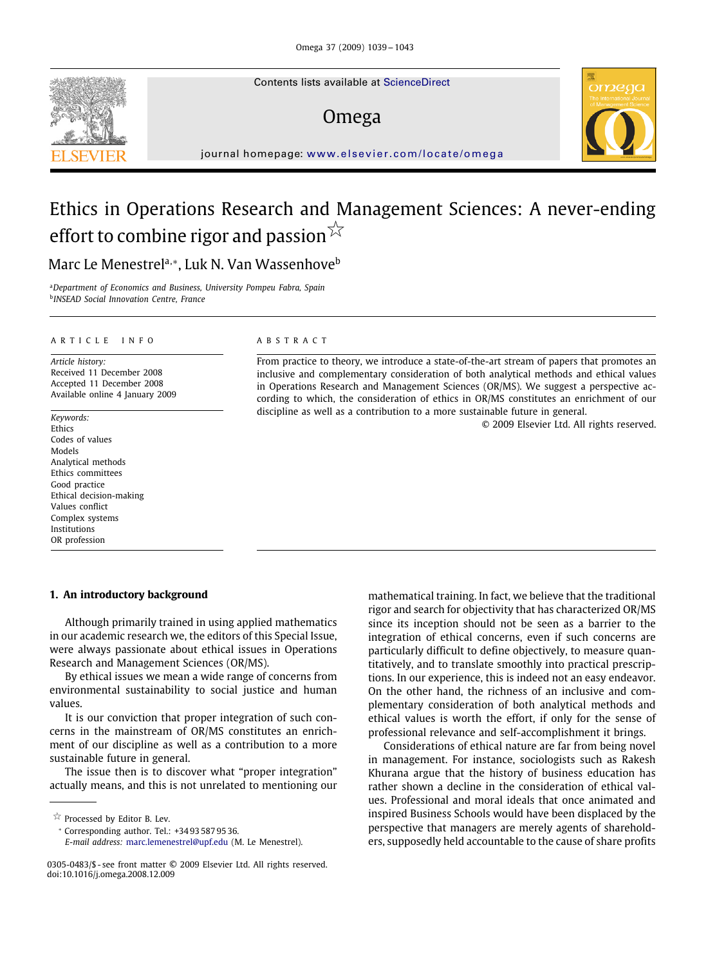Contents lists available at [ScienceDirect](http://www.sciencedirect.com/science/journal/omega)

## Omega



journal homepage: [www.elsevier.com/locate/omega](http://www.elsevier.com/locate/omega)

# Ethics in Operations Research and Management Sciences: A never-ending effort to combine rigor and passion  $^{\not\sim}$

Marc Le Menestrel<sup>a,∗</sup>, Luk N. Van Wassenhove<sup>b</sup>

<sup>a</sup>*Department of Economics and Business, University Pompeu Fabra, Spain* <sup>b</sup>*INSEAD Social Innovation Centre, France*

### ARTICLE INFO ABSTRACT

*Article history:* Received 11 December 2008 Accepted 11 December 2008 Available online 4 January 2009

*Keywords:* Ethics Codes of values Models Analytical methods Ethics committees Good practice Ethical decision-making Values conflict Complex systems Institutions OR profession

From practice to theory, we introduce a state-of-the-art stream of papers that promotes an inclusive and complementary consideration of both analytical methods and ethical values in Operations Research and Management Sciences (OR/MS). We suggest a perspective according to which, the consideration of ethics in OR/MS constitutes an enrichment of our discipline as well as a contribution to a more sustainable future in general.

© 2009 Elsevier Ltd. All rights reserved.

## **1. An introductory background**

Although primarily trained in using applied mathematics in our academic research we, the editors of this Special Issue, were always passionate about ethical issues in Operations Research and Management Sciences (OR/MS).

By ethical issues we mean a wide range of concerns from environmental sustainability to social justice and human values.

It is our conviction that proper integration of such concerns in the mainstream of OR/MS constitutes an enrichment of our discipline as well as a contribution to a more sustainable future in general.

The issue then is to discover what "proper integration" actually means, and this is not unrelated to mentioning our

<sup>∗</sup> Corresponding author. Tel.: +34 93 587 95 36.

mathematical training. In fact, we believe that the traditional rigor and search for objectivity that has characterized OR/MS since its inception should not be seen as a barrier to the integration of ethical concerns, even if such concerns are particularly difficult to define objectively, to measure quantitatively, and to translate smoothly into practical prescriptions. In our experience, this is indeed not an easy endeavor. On the other hand, the richness of an inclusive and complementary consideration of both analytical methods and ethical values is worth the effort, if only for the sense of professional relevance and self-accomplishment it brings.

Considerations of ethical nature are far from being novel in management. For instance, sociologists such as Rakesh Khurana argue that the history of business education has rather shown a decline in the consideration of ethical values. Professional and moral ideals that once animated and inspired Business Schools would have been displaced by the perspective that managers are merely agents of shareholders, supposedly held accountable to the cause of share profits



 $\overleftrightarrow{\mathbb{R}}$  Processed by Editor B. Lev.

*E-mail address:* [marc.lemenestrel@upf.edu](mailto:marc.lemenestrel@upf.edu) (M. Le Menestrel).

<sup>0305-0483/\$ -</sup> see front matter © 2009 Elsevier Ltd. All rights reserved. doi:10.1016/j.omega.2008.12.009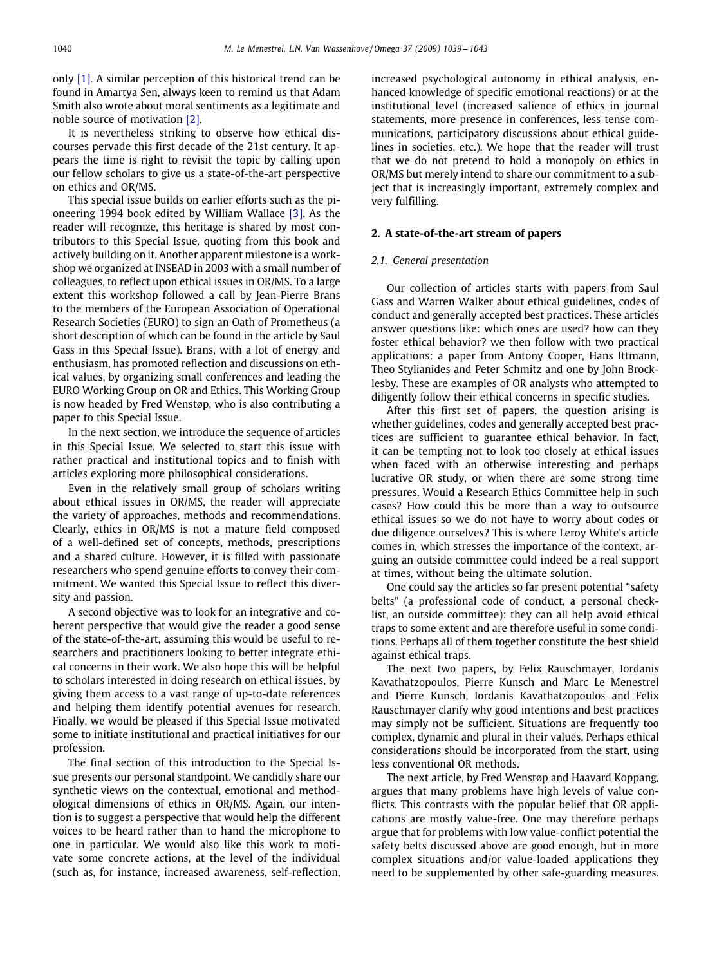only [\[1\].](#page--1-0) A similar perception of this historical trend can be found in Amartya Sen, always keen to remind us that Adam Smith also wrote about moral sentiments as a legitimate and noble source of motivation [\[2\].](#page--1-1)

It is nevertheless striking to observe how ethical discourses pervade this first decade of the 21st century. It appears the time is right to revisit the topic by calling upon our fellow scholars to give us a state-of-the-art perspective on ethics and OR/MS.

This special issue builds on earlier efforts such as the pioneering 1994 book edited by William Wallace [\[3\].](#page--1-2) As the reader will recognize, this heritage is shared by most contributors to this Special Issue, quoting from this book and actively building on it. Another apparent milestone is a workshop we organized at INSEAD in 2003 with a small number of colleagues, to reflect upon ethical issues in OR/MS. To a large extent this workshop followed a call by Jean-Pierre Brans to the members of the European Association of Operational Research Societies (EURO) to sign an Oath of Prometheus (a short description of which can be found in the article by Saul Gass in this Special Issue). Brans, with a lot of energy and enthusiasm, has promoted reflection and discussions on ethical values, by organizing small conferences and leading the EURO Working Group on OR and Ethics. This Working Group is now headed by Fred Wenstøp, who is also contributing a paper to this Special Issue.

In the next section, we introduce the sequence of articles in this Special Issue. We selected to start this issue with rather practical and institutional topics and to finish with articles exploring more philosophical considerations.

Even in the relatively small group of scholars writing about ethical issues in OR/MS, the reader will appreciate the variety of approaches, methods and recommendations. Clearly, ethics in OR/MS is not a mature field composed of a well-defined set of concepts, methods, prescriptions and a shared culture. However, it is filled with passionate researchers who spend genuine efforts to convey their commitment. We wanted this Special Issue to reflect this diversity and passion.

A second objective was to look for an integrative and coherent perspective that would give the reader a good sense of the state-of-the-art, assuming this would be useful to researchers and practitioners looking to better integrate ethical concerns in their work. We also hope this will be helpful to scholars interested in doing research on ethical issues, by giving them access to a vast range of up-to-date references and helping them identify potential avenues for research. Finally, we would be pleased if this Special Issue motivated some to initiate institutional and practical initiatives for our profession.

The final section of this introduction to the Special Issue presents our personal standpoint. We candidly share our synthetic views on the contextual, emotional and methodological dimensions of ethics in OR/MS. Again, our intention is to suggest a perspective that would help the different voices to be heard rather than to hand the microphone to one in particular. We would also like this work to motivate some concrete actions, at the level of the individual (such as, for instance, increased awareness, self-reflection,

increased psychological autonomy in ethical analysis, enhanced knowledge of specific emotional reactions) or at the institutional level (increased salience of ethics in journal statements, more presence in conferences, less tense communications, participatory discussions about ethical guidelines in societies, etc.). We hope that the reader will trust that we do not pretend to hold a monopoly on ethics in OR/MS but merely intend to share our commitment to a subject that is increasingly important, extremely complex and very fulfilling.

#### **2. A state-of-the-art stream of papers**

## *2.1. General presentation*

Our collection of articles starts with papers from Saul Gass and Warren Walker about ethical guidelines, codes of conduct and generally accepted best practices. These articles answer questions like: which ones are used? how can they foster ethical behavior? we then follow with two practical applications: a paper from Antony Cooper, Hans Ittmann, Theo Stylianides and Peter Schmitz and one by John Brocklesby. These are examples of OR analysts who attempted to diligently follow their ethical concerns in specific studies.

After this first set of papers, the question arising is whether guidelines, codes and generally accepted best practices are sufficient to guarantee ethical behavior. In fact, it can be tempting not to look too closely at ethical issues when faced with an otherwise interesting and perhaps lucrative OR study, or when there are some strong time pressures. Would a Research Ethics Committee help in such cases? How could this be more than a way to outsource ethical issues so we do not have to worry about codes or due diligence ourselves? This is where Leroy White's article comes in, which stresses the importance of the context, arguing an outside committee could indeed be a real support at times, without being the ultimate solution.

One could say the articles so far present potential "safety belts" (a professional code of conduct, a personal checklist, an outside committee): they can all help avoid ethical traps to some extent and are therefore useful in some conditions. Perhaps all of them together constitute the best shield against ethical traps.

The next two papers, by Felix Rauschmayer, Iordanis Kavathatzopoulos, Pierre Kunsch and Marc Le Menestrel and Pierre Kunsch, Iordanis Kavathatzopoulos and Felix Rauschmayer clarify why good intentions and best practices may simply not be sufficient. Situations are frequently too complex, dynamic and plural in their values. Perhaps ethical considerations should be incorporated from the start, using less conventional OR methods.

The next article, by Fred Wenstøp and Haavard Koppang, argues that many problems have high levels of value conflicts. This contrasts with the popular belief that OR applications are mostly value-free. One may therefore perhaps argue that for problems with low value-conflict potential the safety belts discussed above are good enough, but in more complex situations and/or value-loaded applications they need to be supplemented by other safe-guarding measures.